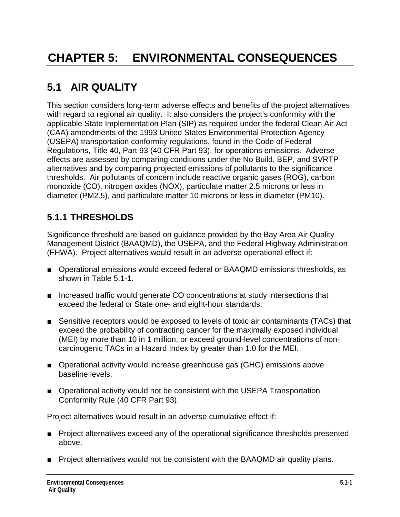# **5.1 AIR QUALITY**

This section considers long-term adverse effects and benefits of the project alternatives with regard to regional air quality. It also considers the project's conformity with the applicable State Implementation Plan (SIP) as required under the federal Clean Air Act (CAA) amendments of the 1993 United States Environmental Protection Agency (USEPA) transportation conformity regulations, found in the Code of Federal Regulations, Title 40, Part 93 (40 CFR Part 93), for operations emissions. Adverse effects are assessed by comparing conditions under the No Build, BEP, and SVRTP alternatives and by comparing projected emissions of pollutants to the significance thresholds. Air pollutants of concern include reactive organic gases (ROG), carbon monoxide (CO), nitrogen oxides (NOX), particulate matter 2.5 microns or less in diameter (PM2.5), and particulate matter 10 microns or less in diameter (PM10).

# **5.1.1 THRESHOLDS**

Significance threshold are based on guidance provided by the Bay Area Air Quality Management District (BAAQMD), the USEPA, and the Federal Highway Administration (FHWA). Project alternatives would result in an adverse operational effect if:

- Operational emissions would exceed federal or BAAQMD emissions thresholds, as shown in Table 5.1-1.
- Increased traffic would generate CO concentrations at study intersections that exceed the federal or State one- and eight-hour standards.
- Sensitive receptors would be exposed to levels of toxic air contaminants (TACs) that exceed the probability of contracting cancer for the maximally exposed individual (MEI) by more than 10 in 1 million, or exceed ground-level concentrations of noncarcinogenic TACs in a Hazard Index by greater than 1.0 for the MEI.
- Operational activity would increase greenhouse gas (GHG) emissions above baseline levels.
- Operational activity would not be consistent with the USEPA Transportation Conformity Rule (40 CFR Part 93).

Project alternatives would result in an adverse cumulative effect if:

- Project alternatives exceed any of the operational significance thresholds presented above.
- Project alternatives would not be consistent with the BAAQMD air quality plans.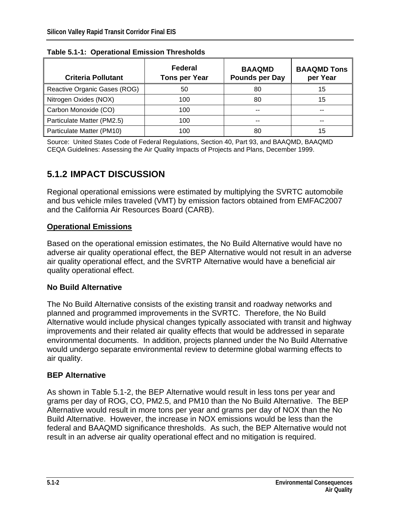| <b>Criteria Pollutant</b>    | <b>Federal</b><br><b>Tons per Year</b> | <b>BAAQMD</b><br><b>Pounds per Day</b> | <b>BAAQMD Tons</b><br>per Year |
|------------------------------|----------------------------------------|----------------------------------------|--------------------------------|
| Reactive Organic Gases (ROG) | 50                                     | 80                                     | 15                             |
| Nitrogen Oxides (NOX)        | 100                                    | 80                                     | 15                             |
| Carbon Monoxide (CO)         | 100                                    |                                        |                                |
| Particulate Matter (PM2.5)   | 100                                    | --                                     |                                |
| Particulate Matter (PM10)    | 100                                    | 80                                     | 15                             |

**Table 5.1-1: Operational Emission Thresholds** 

Source: United States Code of Federal Regulations, Section 40, Part 93, and BAAQMD, BAAQMD CEQA Guidelines: Assessing the Air Quality Impacts of Projects and Plans, December 1999.

# **5.1.2 IMPACT DISCUSSION**

Regional operational emissions were estimated by multiplying the SVRTC automobile and bus vehicle miles traveled (VMT) by emission factors obtained from EMFAC2007 and the California Air Resources Board (CARB).

#### **Operational Emissions**

Based on the operational emission estimates, the No Build Alternative would have no adverse air quality operational effect, the BEP Alternative would not result in an adverse air quality operational effect, and the SVRTP Alternative would have a beneficial air quality operational effect.

#### **No Build Alternative**

The No Build Alternative consists of the existing transit and roadway networks and planned and programmed improvements in the SVRTC. Therefore, the No Build Alternative would include physical changes typically associated with transit and highway improvements and their related air quality effects that would be addressed in separate environmental documents. In addition, projects planned under the No Build Alternative would undergo separate environmental review to determine global warming effects to air quality.

#### **BEP Alternative**

As shown in Table 5.1-2, the BEP Alternative would result in less tons per year and grams per day of ROG, CO, PM2.5, and PM10 than the No Build Alternative. The BEP Alternative would result in more tons per year and grams per day of NOX than the No Build Alternative. However, the increase in NOX emissions would be less than the federal and BAAQMD significance thresholds. As such, the BEP Alternative would not result in an adverse air quality operational effect and no mitigation is required.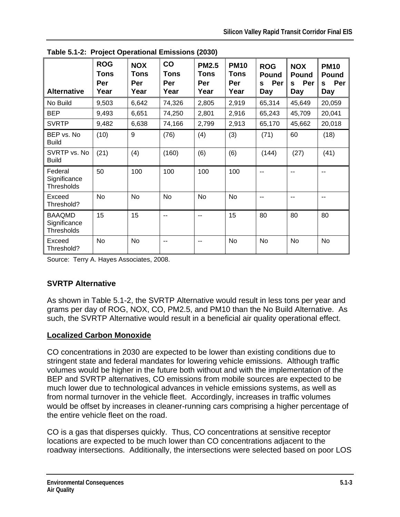| <b>Alternative</b>                           | <b>ROG</b><br>Tons<br>Per<br>Year | <b>NOX</b><br>Tons<br>Per<br>Year | CO<br><b>Tons</b><br>Per<br>Year | <b>PM2.5</b><br><b>Tons</b><br>Per<br>Year | <b>PM10</b><br><b>Tons</b><br>Per<br>Year | <b>ROG</b><br><b>Pound</b><br>Per<br>S<br>Day | <b>NOX</b><br><b>Pound</b><br>Per<br>S<br>Day | <b>PM10</b><br>Pound<br>Per<br>S<br>Day |
|----------------------------------------------|-----------------------------------|-----------------------------------|----------------------------------|--------------------------------------------|-------------------------------------------|-----------------------------------------------|-----------------------------------------------|-----------------------------------------|
| No Build                                     | 9,503                             | 6,642                             | 74,326                           | 2,805                                      | 2,919                                     | 65,314                                        | 45,649                                        | 20,059                                  |
| <b>BEP</b>                                   | 9,493                             | 6,651                             | 74,250                           | 2,801                                      | 2,916                                     | 65,243                                        | 45,709                                        | 20,041                                  |
| <b>SVRTP</b>                                 | 9,482                             | 6,638                             | 74,166                           | 2,799                                      | 2,913                                     | 65,170                                        | 45,662                                        | 20,018                                  |
| BEP vs. No<br><b>Build</b>                   | (10)                              | 9                                 | (76)                             | (4)                                        | (3)                                       | (71)                                          | 60                                            | (18)                                    |
| SVRTP vs. No<br><b>Build</b>                 | (21)                              | (4)                               | (160)                            | (6)                                        | (6)                                       | (144)                                         | (27)                                          | (41)                                    |
| Federal<br>Significance<br><b>Thresholds</b> | 50                                | 100                               | 100                              | 100                                        | 100                                       |                                               |                                               | --                                      |
| Exceed<br>Threshold?                         | <b>No</b>                         | <b>No</b>                         | No                               | <b>No</b>                                  | No                                        | --                                            | $\overline{a}$                                | --                                      |
| <b>BAAQMD</b><br>Significance<br>Thresholds  | 15                                | 15                                | $\overline{\phantom{a}}$         | $-$                                        | 15                                        | 80                                            | 80                                            | 80                                      |
| Exceed<br>Threshold?                         | No                                | No                                | $\overline{\phantom{a}}$         | --                                         | No                                        | No                                            | No                                            | No                                      |

**Table 5.1-2: Project Operational Emissions (2030)** 

Source: Terry A. Hayes Associates, 2008.

## **SVRTP Alternative**

As shown in Table 5.1-2, the SVRTP Alternative would result in less tons per year and grams per day of ROG, NOX, CO, PM2.5, and PM10 than the No Build Alternative. As such, the SVRTP Alternative would result in a beneficial air quality operational effect.

#### **Localized Carbon Monoxide**

CO concentrations in 2030 are expected to be lower than existing conditions due to stringent state and federal mandates for lowering vehicle emissions. Although traffic volumes would be higher in the future both without and with the implementation of the BEP and SVRTP alternatives, CO emissions from mobile sources are expected to be much lower due to technological advances in vehicle emissions systems, as well as from normal turnover in the vehicle fleet. Accordingly, increases in traffic volumes would be offset by increases in cleaner-running cars comprising a higher percentage of the entire vehicle fleet on the road.

CO is a gas that disperses quickly. Thus, CO concentrations at sensitive receptor locations are expected to be much lower than CO concentrations adjacent to the roadway intersections. Additionally, the intersections were selected based on poor LOS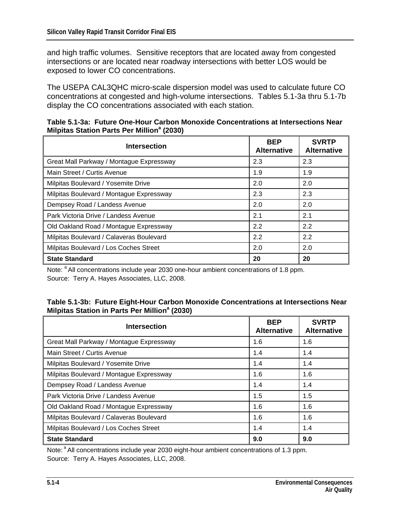and high traffic volumes. Sensitive receptors that are located away from congested intersections or are located near roadway intersections with better LOS would be exposed to lower CO concentrations.

The USEPA CAL3QHC micro-scale dispersion model was used to calculate future CO concentrations at congested and high-volume intersections. Tables 5.1-3a thru 5.1-7b display the CO concentrations associated with each station.

| <b>Intersection</b>                      | <b>BEP</b><br><b>Alternative</b> | <b>SVRTP</b><br><b>Alternative</b> |
|------------------------------------------|----------------------------------|------------------------------------|
| Great Mall Parkway / Montague Expressway | 2.3                              | 2.3                                |
| Main Street / Curtis Avenue              | 1.9                              | 1.9                                |
| Milpitas Boulevard / Yosemite Drive      | 2.0                              | 2.0                                |
| Milpitas Boulevard / Montague Expressway | 2.3                              | 2.3                                |
| Dempsey Road / Landess Avenue            | 2.0                              | 2.0                                |
| Park Victoria Drive / Landess Avenue     | 2.1                              | 2.1                                |
| Old Oakland Road / Montague Expressway   | 2.2                              | 2.2                                |
| Milpitas Boulevard / Calaveras Boulevard | 2.2                              | 2.2                                |
| Milpitas Boulevard / Los Coches Street   | 2.0                              | 2.0                                |
| <b>State Standard</b>                    | 20                               | 20                                 |

**Table 5.1-3a: Future One-Hour Carbon Monoxide Concentrations at Intersections Near Milpitas Station Parts Per Million<sup>a</sup> (2030)** 

Note: <sup>a</sup> All concentrations include year 2030 one-hour ambient concentrations of 1.8 ppm. Source: Terry A. Hayes Associates, LLC, 2008.

| Table 5.1-3b: Future Eight-Hour Carbon Monoxide Concentrations at Intersections Near |  |
|--------------------------------------------------------------------------------------|--|
| Milpitas Station in Parts Per Million <sup>a</sup> (2030)                            |  |

| <b>Intersection</b>                      | <b>BEP</b><br><b>Alternative</b> | <b>SVRTP</b><br><b>Alternative</b> |
|------------------------------------------|----------------------------------|------------------------------------|
| Great Mall Parkway / Montague Expressway | 1.6                              | 1.6                                |
| Main Street / Curtis Avenue              | 1.4                              | 1.4                                |
| Milpitas Boulevard / Yosemite Drive      | 1.4                              | 1.4                                |
| Milpitas Boulevard / Montague Expressway | 1.6                              | 1.6                                |
| Dempsey Road / Landess Avenue            | 1.4                              | 1.4                                |
| Park Victoria Drive / Landess Avenue     | 1.5                              | 1.5                                |
| Old Oakland Road / Montague Expressway   | 1.6                              | 1.6                                |
| Milpitas Boulevard / Calaveras Boulevard | 1.6                              | 1.6                                |
| Milpitas Boulevard / Los Coches Street   | 1.4                              | 1.4                                |
| <b>State Standard</b>                    | 9.0                              | 9.0                                |

Note: <sup>a</sup> All concentrations include year 2030 eight-hour ambient concentrations of 1.3 ppm. Source: Terry A. Hayes Associates, LLC, 2008.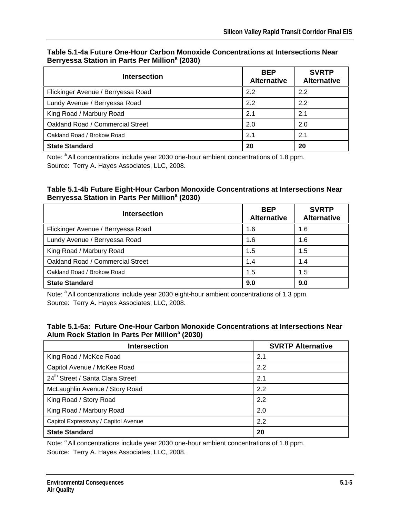| <b>Intersection</b>                | <b>BEP</b><br><b>Alternative</b> | <b>SVRTP</b><br><b>Alternative</b> |
|------------------------------------|----------------------------------|------------------------------------|
| Flickinger Avenue / Berryessa Road | 2.2                              | 2.2                                |
| Lundy Avenue / Berryessa Road      | 2.2                              | 2.2                                |
| King Road / Marbury Road           | 2.1                              | 2.1                                |
| Oakland Road / Commercial Street   | 2.0                              | 2.0                                |
| Oakland Road / Brokow Road         | 2.1                              | 2.1                                |
| <b>State Standard</b>              | 20                               | 20                                 |

#### **Table 5.1-4a Future One-Hour Carbon Monoxide Concentrations at Intersections Near Berryessa Station in Parts Per Million<sup>a</sup> (2030)**

Note: <sup>a</sup> All concentrations include year 2030 one-hour ambient concentrations of 1.8 ppm. Source: Terry A. Hayes Associates, LLC, 2008.

#### **Table 5.1-4b Future Eight-Hour Carbon Monoxide Concentrations at Intersections Near Berryessa Station in Parts Per Million<sup>a</sup> (2030)**

| Intersection                       | <b>BEP</b><br><b>Alternative</b> | <b>SVRTP</b><br><b>Alternative</b> |
|------------------------------------|----------------------------------|------------------------------------|
| Flickinger Avenue / Berryessa Road | 1.6                              | 1.6                                |
| Lundy Avenue / Berryessa Road      | 1.6                              | 1.6                                |
| King Road / Marbury Road           | 1.5                              | 1.5                                |
| Oakland Road / Commercial Street   | 1.4                              | 1.4                                |
| Oakland Road / Brokow Road         | 1.5                              | 1.5                                |
| <b>State Standard</b>              | 9.0                              | 9.0                                |

Note: <sup>a</sup> All concentrations include year 2030 eight-hour ambient concentrations of 1.3 ppm. Source: Terry A. Hayes Associates, LLC, 2008.

#### **Table 5.1-5a: Future One-Hour Carbon Monoxide Concentrations at Intersections Near**  Alum Rock Station in Parts Per Million<sup>a</sup> (2030)

| <b>Intersection</b>                          | <b>SVRTP Alternative</b> |
|----------------------------------------------|--------------------------|
| King Road / McKee Road                       | 2.1                      |
| Capitol Avenue / McKee Road                  | 2.2                      |
| 24 <sup>th</sup> Street / Santa Clara Street | 2.1                      |
| McLaughlin Avenue / Story Road               | 2.2                      |
| King Road / Story Road                       | 2.2                      |
| King Road / Marbury Road                     | 2.0                      |
| Capitol Expressway / Capitol Avenue          | 2.2                      |
| <b>State Standard</b>                        | 20                       |

Note: <sup>a</sup> All concentrations include year 2030 one-hour ambient concentrations of 1.8 ppm. Source: Terry A. Hayes Associates, LLC, 2008.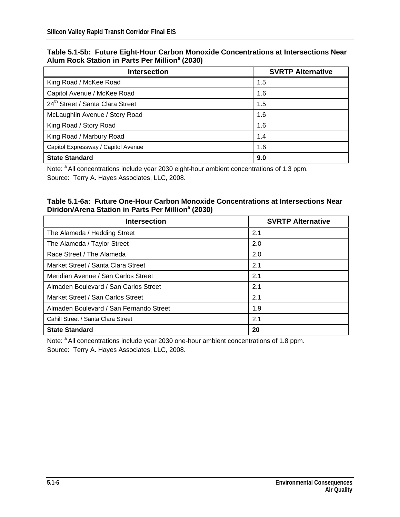|                                                            | Table 5.1-5b: Future Eight-Hour Carbon Monoxide Concentrations at Intersections Near |
|------------------------------------------------------------|--------------------------------------------------------------------------------------|
| Alum Rock Station in Parts Per Million <sup>a</sup> (2030) |                                                                                      |

| <b>Intersection</b>                          | <b>SVRTP Alternative</b> |
|----------------------------------------------|--------------------------|
| King Road / McKee Road                       | 1.5                      |
| Capitol Avenue / McKee Road                  | 1.6                      |
| 24 <sup>th</sup> Street / Santa Clara Street | 1.5                      |
| McLaughlin Avenue / Story Road               | 1.6                      |
| King Road / Story Road                       | 1.6                      |
| King Road / Marbury Road                     | 1.4                      |
| Capitol Expressway / Capitol Avenue          | 1.6                      |
| <b>State Standard</b>                        | 9.0                      |

Note: <sup>a</sup> All concentrations include year 2030 eight-hour ambient concentrations of 1.3 ppm. Source: Terry A. Hayes Associates, LLC, 2008.

#### **Table 5.1-6a: Future One-Hour Carbon Monoxide Concentrations at Intersections Near Diridon/Arena Station in Parts Per Million<sup>a</sup> (2030)**

| <b>Intersection</b>                     | <b>SVRTP Alternative</b> |
|-----------------------------------------|--------------------------|
| The Alameda / Hedding Street            | 2.1                      |
| The Alameda / Taylor Street             | 2.0                      |
| Race Street / The Alameda               | 2.0                      |
| Market Street / Santa Clara Street      | 2.1                      |
| Meridian Avenue / San Carlos Street     | 2.1                      |
| Almaden Boulevard / San Carlos Street   | 2.1                      |
| Market Street / San Carlos Street       | 2.1                      |
| Almaden Boulevard / San Fernando Street | 1.9                      |
| Cahill Street / Santa Clara Street      | 2.1                      |
| <b>State Standard</b>                   | 20                       |

Note: <sup>a</sup> All concentrations include year 2030 one-hour ambient concentrations of 1.8 ppm. Source: Terry A. Hayes Associates, LLC, 2008.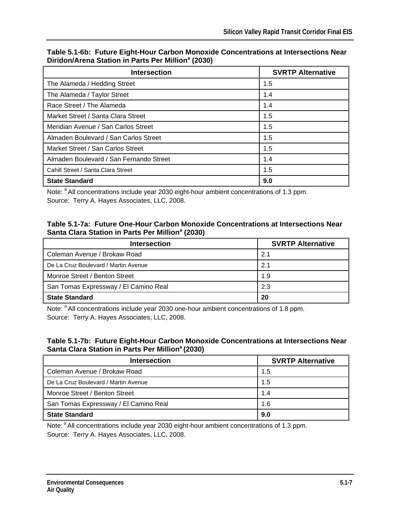| <b>Intersection</b>                     | <b>SVRTP Alternative</b> |  |  |
|-----------------------------------------|--------------------------|--|--|
| The Alameda / Hedding Street            | 1.5                      |  |  |
| The Alameda / Taylor Street             | 1.4                      |  |  |
| Race Street / The Alameda               | 1.4                      |  |  |
| Market Street / Santa Clara Street      | 1.5                      |  |  |
| Meridian Avenue / San Carlos Street     | 1.5                      |  |  |
| Almaden Boulevard / San Carlos Street   | 1.5                      |  |  |
| Market Street / San Carlos Street       | 1.5                      |  |  |
| Almaden Boulevard / San Fernando Street | 1.4                      |  |  |
| Cahill Street / Santa Clara Street      | 1.5                      |  |  |
| <b>State Standard</b>                   | 9.0                      |  |  |

**Table 5.1-6b: Future Eight-Hour Carbon Monoxide Concentrations at Intersections Near Diridon/Arena Station in Parts Per Million<sup>a</sup> (2030)** 

Note: <sup>a</sup> All concentrations include year 2030 eight-hour ambient concentrations of 1.3 ppm. Source: Terry A. Hayes Associates, LLC, 2008.

#### **Table 5.1-7a: Future One-Hour Carbon Monoxide Concentrations at Intersections Near**  Santa Clara Station in Parts Per Million<sup>a</sup> (2030)

| <b>Intersection</b>                   | <b>SVRTP Alternative</b> |
|---------------------------------------|--------------------------|
| Coleman Avenue / Brokaw Road          | 2.1                      |
| De La Cruz Boulevard / Martin Avenue  | 2.1                      |
| Monroe Street / Benton Street         | 1.9                      |
| San Tomas Expressway / El Camino Real | 2.3                      |
| <b>State Standard</b>                 | 20                       |

Note: <sup>a</sup> All concentrations include year 2030 one-hour ambient concentrations of 1.8 ppm. Source: Terry A. Hayes Associates, LLC, 2008.

#### **Table 5.1-7b: Future Eight-Hour Carbon Monoxide Concentrations at Intersections Near Santa Clara Station in Parts Per Milliona (2030)**

| <b>Intersection</b>                   | <b>SVRTP Alternative</b> |
|---------------------------------------|--------------------------|
| Coleman Avenue / Brokaw Road          | 1.5                      |
| De La Cruz Boulevard / Martin Avenue  | 1.5                      |
| Monroe Street / Benton Street         | 1.4                      |
| San Tomas Expressway / El Camino Real | 1.6                      |
| <b>State Standard</b>                 | 9.0                      |

Note: <sup>a</sup> All concentrations include year 2030 eight-hour ambient concentrations of 1.3 ppm. Source: Terry A. Hayes Associates, LLC, 2008.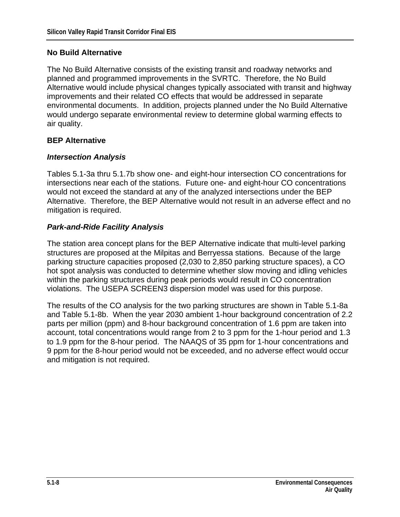#### **No Build Alternative**

The No Build Alternative consists of the existing transit and roadway networks and planned and programmed improvements in the SVRTC. Therefore, the No Build Alternative would include physical changes typically associated with transit and highway improvements and their related CO effects that would be addressed in separate environmental documents. In addition, projects planned under the No Build Alternative would undergo separate environmental review to determine global warming effects to air quality.

#### **BEP Alternative**

#### *Intersection Analysis*

Tables 5.1-3a thru 5.1.7b show one- and eight-hour intersection CO concentrations for intersections near each of the stations. Future one- and eight-hour CO concentrations would not exceed the standard at any of the analyzed intersections under the BEP Alternative. Therefore, the BEP Alternative would not result in an adverse effect and no mitigation is required.

#### *Park-and-Ride Facility Analysis*

The station area concept plans for the BEP Alternative indicate that multi-level parking structures are proposed at the Milpitas and Berryessa stations. Because of the large parking structure capacities proposed (2,030 to 2,850 parking structure spaces), a CO hot spot analysis was conducted to determine whether slow moving and idling vehicles within the parking structures during peak periods would result in CO concentration violations. The USEPA SCREEN3 dispersion model was used for this purpose.

The results of the CO analysis for the two parking structures are shown in Table 5.1-8a and Table 5.1-8b. When the year 2030 ambient 1-hour background concentration of 2.2 parts per million (ppm) and 8-hour background concentration of 1.6 ppm are taken into account, total concentrations would range from 2 to 3 ppm for the 1-hour period and 1.3 to 1.9 ppm for the 8-hour period. The NAAQS of 35 ppm for 1-hour concentrations and 9 ppm for the 8-hour period would not be exceeded, and no adverse effect would occur and mitigation is not required.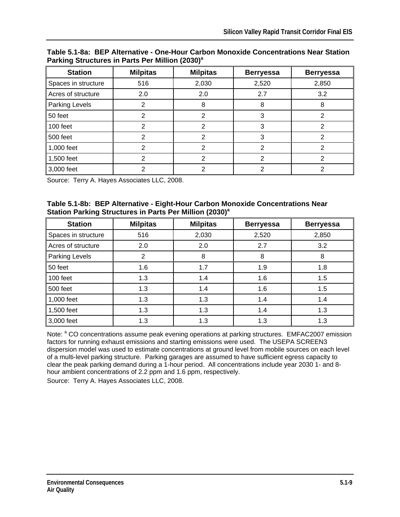| <b>Station</b>      | <b>Milpitas</b> | <b>Milpitas</b> | <b>Berryessa</b> | <b>Berryessa</b> |
|---------------------|-----------------|-----------------|------------------|------------------|
| Spaces in structure | 516             | 2,030           | 2,520            | 2,850            |
| Acres of structure  | 2.0             | 2.0             | 2.7              | 3.2              |
| Parking Levels      | າ               | 8               | 8                | 8                |
| 50 feet             | 2               | 2               | 3                |                  |
| 100 feet            | 2               | 2               | 3                | າ                |
| 500 feet            |                 |                 |                  |                  |
| 1,000 feet          | າ               | 2               | 2                | っ                |
| 1,500 feet          | 2               | 2               | 2                | າ                |
| 3,000 feet          | っ               | າ               | 2                |                  |

**Table 5.1-8a: BEP Alternative - One-Hour Carbon Monoxide Concentrations Near Station**  Parking Structures in Parts Per Million (2030)<sup>a</sup>

Source: Terry A. Hayes Associates LLC, 2008.

|                                                                     | Table 5.1-8b: BEP Alternative - Eight-Hour Carbon Monoxide Concentrations Near |  |
|---------------------------------------------------------------------|--------------------------------------------------------------------------------|--|
| Station Parking Structures in Parts Per Million (2030) <sup>a</sup> |                                                                                |  |

| <b>Station</b>      | <b>Milpitas</b> | <b>Milpitas</b> | <b>Berryessa</b> | <b>Berryessa</b> |
|---------------------|-----------------|-----------------|------------------|------------------|
| Spaces in structure | 516             | 2,030           | 2,520            | 2,850            |
| Acres of structure  | 2.0             | 2.0             | 2.7              | 3.2              |
| Parking Levels      | 2               | 8               | 8                | 8                |
| 50 feet             | 1.6             | 1.7             | 1.9              | 1.8              |
| 100 feet            | 1.3             | 1.4             | 1.6              | 1.5              |
| 500 feet            | 1.3             | 1.4             | 1.6              | 1.5              |
| 1,000 feet          | 1.3             | 1.3             | 1.4              | 1.4              |
| 1,500 feet          | 1.3             | 1.3             | 1.4              | 1.3              |
| 3,000 feet          | 1.3             | 1.3             | 1.3              | 1.3              |

Note: <sup>a</sup> CO concentrations assume peak evening operations at parking structures. EMFAC2007 emission factors for running exhaust emissions and starting emissions were used. The USEPA SCREEN3 dispersion model was used to estimate concentrations at ground level from mobile sources on each level of a multi-level parking structure. Parking garages are assumed to have sufficient egress capacity to clear the peak parking demand during a 1-hour period. All concentrations include year 2030 1- and 8 hour ambient concentrations of 2.2 ppm and 1.6 ppm, respectively.

Source: Terry A. Hayes Associates LLC, 2008.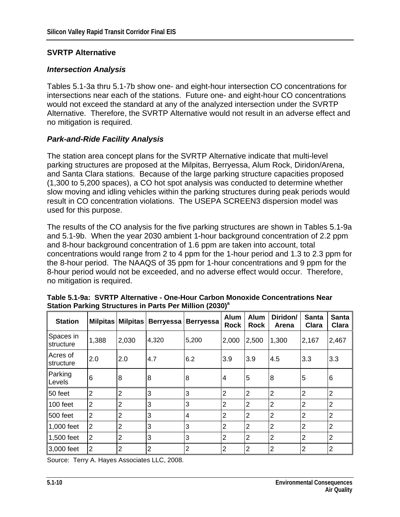#### **SVRTP Alternative**

#### *Intersection Analysis*

Tables 5.1-3a thru 5.1-7b show one- and eight-hour intersection CO concentrations for intersections near each of the stations. Future one- and eight-hour CO concentrations would not exceed the standard at any of the analyzed intersection under the SVRTP Alternative. Therefore, the SVRTP Alternative would not result in an adverse effect and no mitigation is required.

#### *Park-and-Ride Facility Analysis*

The station area concept plans for the SVRTP Alternative indicate that multi-level parking structures are proposed at the Milpitas, Berryessa, Alum Rock, Diridon/Arena, and Santa Clara stations. Because of the large parking structure capacities proposed (1,300 to 5,200 spaces), a CO hot spot analysis was conducted to determine whether slow moving and idling vehicles within the parking structures during peak periods would result in CO concentration violations. The USEPA SCREEN3 dispersion model was used for this purpose.

The results of the CO analysis for the five parking structures are shown in Tables 5.1-9a and 5.1-9b. When the year 2030 ambient 1-hour background concentration of 2.2 ppm and 8-hour background concentration of 1.6 ppm are taken into account, total concentrations would range from 2 to 4 ppm for the 1-hour period and 1.3 to 2.3 ppm for the 8-hour period. The NAAQS of 35 ppm for 1-hour concentrations and 9 ppm for the 8-hour period would not be exceeded, and no adverse effect would occur. Therefore, no mitigation is required.

| <b>Station</b>         |                | Milpitas Milpitas | Berryessa | <b>Berryessa</b> | Alum<br><b>Rock</b> | Alum<br><b>Rock</b> | Diridon/<br>Arena | <b>Santa</b><br><b>Clara</b> | <b>Santa</b><br>Clara |
|------------------------|----------------|-------------------|-----------|------------------|---------------------|---------------------|-------------------|------------------------------|-----------------------|
| Spaces in<br>structure | 1,388          | 2,030             | 4,320     | 5,200            | 2,000               | 2,500               | 1,300             | 2,167                        | 2,467                 |
| Acres of<br>structure  | 2.0            | 2.0               | 4.7       | 6.2              | 3.9                 | 3.9                 | 4.5               | 3.3                          | 3.3                   |
| Parking<br>Levels      | 6              | 8                 | 8         | 8                | 4                   | 5                   | 8                 | $\overline{5}$               | 6                     |
| 50 feet                | $\overline{2}$ | $\overline{2}$    | 3         | 3                | $\overline{2}$      | $\overline{2}$      | $\overline{2}$    | $\overline{2}$               | $\overline{2}$        |
| 100 feet               | $\overline{2}$ | $\overline{2}$    | 3         | 3                | $\overline{2}$      | 2                   | $\overline{2}$    | $\overline{2}$               | $\overline{2}$        |
| 500 feet               | $\overline{2}$ | $\overline{2}$    | 3         | 4                | $\overline{2}$      | $\overline{2}$      | $\overline{2}$    | $\overline{2}$               | $\overline{2}$        |
| 1,000 feet             | $\overline{2}$ | 2                 | 3         | 3                | 2                   | 2                   | $\overline{2}$    | $\overline{2}$               | $\overline{2}$        |
| 1,500 feet             | $\overline{2}$ | $\overline{2}$    | 3         | 3                | $\overline{2}$      | 2                   | $\overline{2}$    | $\overline{2}$               | $\overline{2}$        |
| 3,000 feet             | $\overline{2}$ | $\overline{2}$    | 2         | 2                | 2                   | 2                   | 2                 | $\overline{2}$               | $\overline{2}$        |

**Table 5.1-9a: SVRTP Alternative - One-Hour Carbon Monoxide Concentrations Near Station Parking Structures in Parts Per Million (2030)a**

Source: Terry A. Hayes Associates LLC, 2008.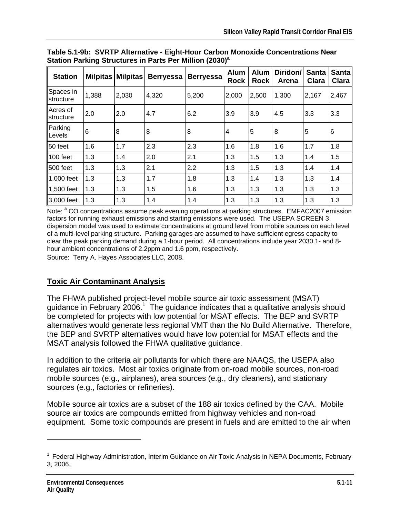| <b>Station</b>         | <b>Milpitas</b> | <b>Milpitas</b> | <b>Berryessa</b> | <b>Berryessa</b> | Alum<br><b>Rock</b> | Alum<br><b>Rock</b> | Diridon/<br>Arena | <b>Santa</b><br>Clara | <b>Santa</b><br>Clara |
|------------------------|-----------------|-----------------|------------------|------------------|---------------------|---------------------|-------------------|-----------------------|-----------------------|
| Spaces in<br>structure | 1,388           | 2,030           | 4,320            | 5,200            | 2,000               | 2,500               | 1,300             | 2,167                 | 2,467                 |
| Acres of<br>structure  | 2.0             | 2.0             | 4.7              | 6.2              | 3.9                 | 3.9                 | 4.5               | 3.3                   | 3.3                   |
| Parking<br>Levels      | 6               | 8               | 8                | 8                | 4                   | 5                   | 8                 | 5                     | $\,6$                 |
| l50 feet               | 1.6             | 1.7             | 2.3              | 2.3              | 1.6                 | 1.8                 | 1.6               | 1.7                   | 1.8                   |
| 100 feet               | 1.3             | 1.4             | 2.0              | 2.1              | 1.3                 | 1.5                 | 1.3               | 1.4                   | 1.5                   |
| 500 feet               | 1.3             | 1.3             | 2.1              | 2.2              | 1.3                 | 1.5                 | 1.3               | 1.4                   | 1.4                   |
| 1,000 feet             | 1.3             | 1.3             | 1.7              | 1.8              | 1.3                 | 1.4                 | 1.3               | 1.3                   | 1.4                   |
| 1,500 feet             | 1.3             | 1.3             | 1.5              | 1.6              | 1.3                 | 1.3                 | 1.3               | 1.3                   | 1.3                   |
| 3,000 feet             | 1.3             | 1.3             | 1.4              | 1.4              | 1.3                 | 1.3                 | 1.3               | 1.3                   | 1.3                   |

**Table 5.1-9b: SVRTP Alternative - Eight-Hour Carbon Monoxide Concentrations Near Station Parking Structures in Parts Per Million (2030)<sup>a</sup>** 

Note: <sup>a</sup> CO concentrations assume peak evening operations at parking structures. EMFAC2007 emission factors for running exhaust emissions and starting emissions were used. The USEPA SCREEN 3 dispersion model was used to estimate concentrations at ground level from mobile sources on each level of a multi-level parking structure. Parking garages are assumed to have sufficient egress capacity to clear the peak parking demand during a 1-hour period. All concentrations include year 2030 1- and 8 hour ambient concentrations of 2.2ppm and 1.6 ppm, respectively.

Source: Terry A. Hayes Associates LLC, 2008.

# **Toxic Air Contaminant Analysis**

The FHWA published project-level mobile source air toxic assessment (MSAT) guidance in February 2006.<sup>1</sup> The guidance indicates that a qualitative analysis should be completed for projects with low potential for MSAT effects. The BEP and SVRTP alternatives would generate less regional VMT than the No Build Alternative. Therefore, the BEP and SVRTP alternatives would have low potential for MSAT effects and the MSAT analysis followed the FHWA qualitative guidance.

In addition to the criteria air pollutants for which there are NAAQS, the USEPA also regulates air toxics. Most air toxics originate from on-road mobile sources, non-road mobile sources (e.g., airplanes), area sources (e.g., dry cleaners), and stationary sources (e.g., factories or refineries).

Mobile source air toxics are a subset of the 188 air toxics defined by the CAA. Mobile source air toxics are compounds emitted from highway vehicles and non-road equipment. Some toxic compounds are present in fuels and are emitted to the air when

1

 $<sup>1</sup>$  Federal Highway Administration, Interim Guidance on Air Toxic Analysis in NEPA Documents, February</sup> 3, 2006.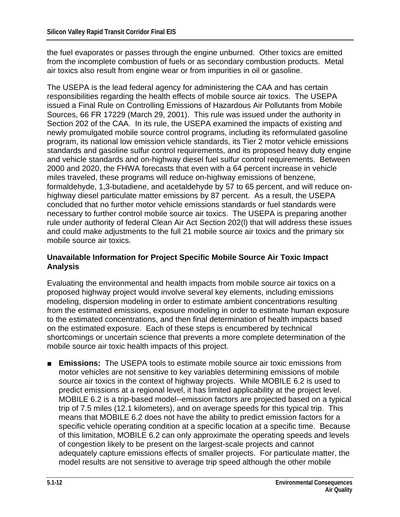the fuel evaporates or passes through the engine unburned. Other toxics are emitted from the incomplete combustion of fuels or as secondary combustion products. Metal air toxics also result from engine wear or from impurities in oil or gasoline.

The USEPA is the lead federal agency for administering the CAA and has certain responsibilities regarding the health effects of mobile source air toxics. The USEPA issued a Final Rule on Controlling Emissions of Hazardous Air Pollutants from Mobile Sources, 66 FR 17229 (March 29, 2001). This rule was issued under the authority in Section 202 of the CAA. In its rule, the USEPA examined the impacts of existing and newly promulgated mobile source control programs, including its reformulated gasoline program, its national low emission vehicle standards, its Tier 2 motor vehicle emissions standards and gasoline sulfur control requirements, and its proposed heavy duty engine and vehicle standards and on-highway diesel fuel sulfur control requirements. Between 2000 and 2020, the FHWA forecasts that even with a 64 percent increase in vehicle miles traveled, these programs will reduce on-highway emissions of benzene, formaldehyde, 1,3-butadiene, and acetaldehyde by 57 to 65 percent, and will reduce onhighway diesel particulate matter emissions by 87 percent. As a result, the USEPA concluded that no further motor vehicle emissions standards or fuel standards were necessary to further control mobile source air toxics. The USEPA is preparing another rule under authority of federal Clean Air Act Section 202(l) that will address these issues and could make adjustments to the full 21 mobile source air toxics and the primary six mobile source air toxics.

#### **Unavailable Information for Project Specific Mobile Source Air Toxic Impact Analysis**

Evaluating the environmental and health impacts from mobile source air toxics on a proposed highway project would involve several key elements, including emissions modeling, dispersion modeling in order to estimate ambient concentrations resulting from the estimated emissions, exposure modeling in order to estimate human exposure to the estimated concentrations, and then final determination of health impacts based on the estimated exposure. Each of these steps is encumbered by technical shortcomings or uncertain science that prevents a more complete determination of the mobile source air toxic health impacts of this project.

■ **Emissions:** The USEPA tools to estimate mobile source air toxic emissions from motor vehicles are not sensitive to key variables determining emissions of mobile source air toxics in the context of highway projects. While MOBILE 6.2 is used to predict emissions at a regional level, it has limited applicability at the project level. MOBILE 6.2 is a trip-based model--emission factors are projected based on a typical trip of 7.5 miles (12.1 kilometers), and on average speeds for this typical trip. This means that MOBILE 6.2 does not have the ability to predict emission factors for a specific vehicle operating condition at a specific location at a specific time. Because of this limitation, MOBILE 6.2 can only approximate the operating speeds and levels of congestion likely to be present on the largest-scale projects and cannot adequately capture emissions effects of smaller projects. For particulate matter, the model results are not sensitive to average trip speed although the other mobile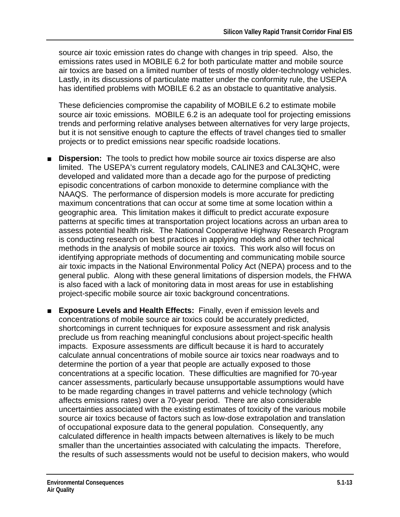source air toxic emission rates do change with changes in trip speed. Also, the emissions rates used in MOBILE 6.2 for both particulate matter and mobile source air toxics are based on a limited number of tests of mostly older-technology vehicles. Lastly, in its discussions of particulate matter under the conformity rule, the USEPA has identified problems with MOBILE 6.2 as an obstacle to quantitative analysis.

These deficiencies compromise the capability of MOBILE 6.2 to estimate mobile source air toxic emissions. MOBILE 6.2 is an adequate tool for projecting emissions trends and performing relative analyses between alternatives for very large projects, but it is not sensitive enough to capture the effects of travel changes tied to smaller projects or to predict emissions near specific roadside locations.

- **Dispersion:** The tools to predict how mobile source air toxics disperse are also limited. The USEPA's current regulatory models, CALINE3 and CAL3QHC, were developed and validated more than a decade ago for the purpose of predicting episodic concentrations of carbon monoxide to determine compliance with the NAAQS. The performance of dispersion models is more accurate for predicting maximum concentrations that can occur at some time at some location within a geographic area. This limitation makes it difficult to predict accurate exposure patterns at specific times at transportation project locations across an urban area to assess potential health risk. The National Cooperative Highway Research Program is conducting research on best practices in applying models and other technical methods in the analysis of mobile source air toxics. This work also will focus on identifying appropriate methods of documenting and communicating mobile source air toxic impacts in the National Environmental Policy Act (NEPA) process and to the general public. Along with these general limitations of dispersion models, the FHWA is also faced with a lack of monitoring data in most areas for use in establishing project-specific mobile source air toxic background concentrations.
- **Exposure Levels and Health Effects:** Finally, even if emission levels and concentrations of mobile source air toxics could be accurately predicted, shortcomings in current techniques for exposure assessment and risk analysis preclude us from reaching meaningful conclusions about project-specific health impacts. Exposure assessments are difficult because it is hard to accurately calculate annual concentrations of mobile source air toxics near roadways and to determine the portion of a year that people are actually exposed to those concentrations at a specific location. These difficulties are magnified for 70-year cancer assessments, particularly because unsupportable assumptions would have to be made regarding changes in travel patterns and vehicle technology (which affects emissions rates) over a 70-year period. There are also considerable uncertainties associated with the existing estimates of toxicity of the various mobile source air toxics because of factors such as low-dose extrapolation and translation of occupational exposure data to the general population. Consequently, any calculated difference in health impacts between alternatives is likely to be much smaller than the uncertainties associated with calculating the impacts. Therefore, the results of such assessments would not be useful to decision makers, who would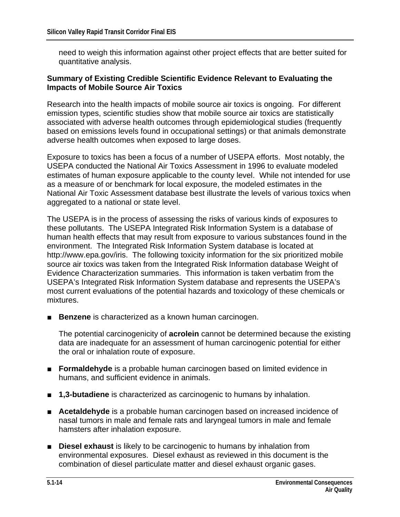need to weigh this information against other project effects that are better suited for quantitative analysis.

#### **Summary of Existing Credible Scientific Evidence Relevant to Evaluating the Impacts of Mobile Source Air Toxics**

Research into the health impacts of mobile source air toxics is ongoing. For different emission types, scientific studies show that mobile source air toxics are statistically associated with adverse health outcomes through epidemiological studies (frequently based on emissions levels found in occupational settings) or that animals demonstrate adverse health outcomes when exposed to large doses.

Exposure to toxics has been a focus of a number of USEPA efforts. Most notably, the USEPA conducted the National Air Toxics Assessment in 1996 to evaluate modeled estimates of human exposure applicable to the county level. While not intended for use as a measure of or benchmark for local exposure, the modeled estimates in the National Air Toxic Assessment database best illustrate the levels of various toxics when aggregated to a national or state level.

The USEPA is in the process of assessing the risks of various kinds of exposures to these pollutants. The USEPA Integrated Risk Information System is a database of human health effects that may result from exposure to various substances found in the environment. The Integrated Risk Information System database is located at http://www.epa.gov/iris. The following toxicity information for the six prioritized mobile source air toxics was taken from the Integrated Risk Information database Weight of Evidence Characterization summaries. This information is taken verbatim from the USEPA's Integrated Risk Information System database and represents the USEPA's most current evaluations of the potential hazards and toxicology of these chemicals or mixtures.

■ **Benzene** is characterized as a known human carcinogen.

The potential carcinogenicity of **acrolein** cannot be determined because the existing data are inadequate for an assessment of human carcinogenic potential for either the oral or inhalation route of exposure.

- **Formaldehyde** is a probable human carcinogen based on limited evidence in humans, and sufficient evidence in animals.
- **1,3-butadiene** is characterized as carcinogenic to humans by inhalation.
- **Acetaldehyde** is a probable human carcinogen based on increased incidence of nasal tumors in male and female rats and laryngeal tumors in male and female hamsters after inhalation exposure.
- **Diesel exhaust** is likely to be carcinogenic to humans by inhalation from environmental exposures. Diesel exhaust as reviewed in this document is the combination of diesel particulate matter and diesel exhaust organic gases.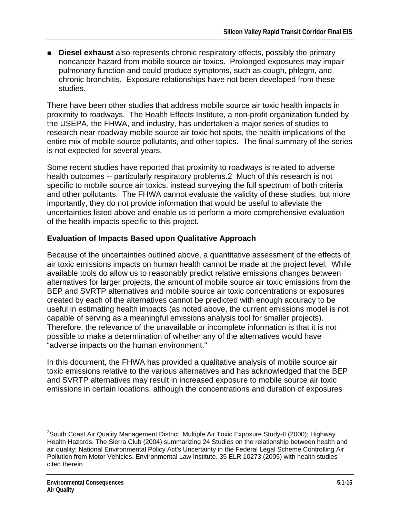■ **Diesel exhaust** also represents chronic respiratory effects, possibly the primary noncancer hazard from mobile source air toxics. Prolonged exposures may impair pulmonary function and could produce symptoms, such as cough, phlegm, and chronic bronchitis. Exposure relationships have not been developed from these studies.

There have been other studies that address mobile source air toxic health impacts in proximity to roadways. The Health Effects Institute, a non-profit organization funded by the USEPA, the FHWA, and industry, has undertaken a major series of studies to research near-roadway mobile source air toxic hot spots, the health implications of the entire mix of mobile source pollutants, and other topics. The final summary of the series is not expected for several years.

Some recent studies have reported that proximity to roadways is related to adverse health outcomes -- particularly respiratory problems.2 Much of this research is not specific to mobile source air toxics, instead surveying the full spectrum of both criteria and other pollutants. The FHWA cannot evaluate the validity of these studies, but more importantly, they do not provide information that would be useful to alleviate the uncertainties listed above and enable us to perform a more comprehensive evaluation of the health impacts specific to this project.

### **Evaluation of Impacts Based upon Qualitative Approach**

Because of the uncertainties outlined above, a quantitative assessment of the effects of air toxic emissions impacts on human health cannot be made at the project level. While available tools do allow us to reasonably predict relative emissions changes between alternatives for larger projects, the amount of mobile source air toxic emissions from the BEP and SVRTP alternatives and mobile source air toxic concentrations or exposures created by each of the alternatives cannot be predicted with enough accuracy to be useful in estimating health impacts (as noted above, the current emissions model is not capable of serving as a meaningful emissions analysis tool for smaller projects). Therefore, the relevance of the unavailable or incomplete information is that it is not possible to make a determination of whether any of the alternatives would have "adverse impacts on the human environment."

In this document, the FHWA has provided a qualitative analysis of mobile source air toxic emissions relative to the various alternatives and has acknowledged that the BEP and SVRTP alternatives may result in increased exposure to mobile source air toxic emissions in certain locations, although the concentrations and duration of exposures

 $\overline{a}$ 

<sup>&</sup>lt;sup>2</sup>South Coast Air Quality Management District, Multiple Air Toxic Exposure Study-II (2000); Highway Health Hazards, The Sierra Club (2004) summarizing 24 Studies on the relationship between health and air quality; National Environmental Policy Act's Uncertainty in the Federal Legal Scheme Controlling Air Pollution from Motor Vehicles, Environmental Law Institute, 35 ELR 10273 (2005) with health studies cited therein.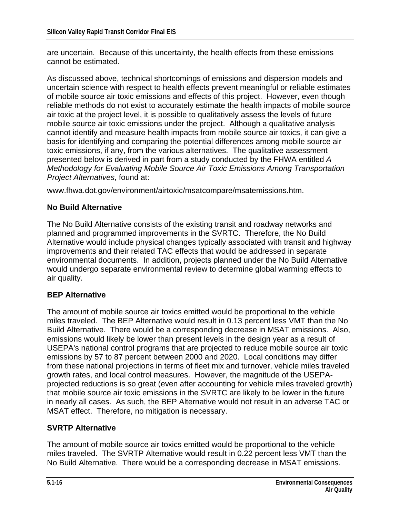are uncertain. Because of this uncertainty, the health effects from these emissions cannot be estimated.

As discussed above, technical shortcomings of emissions and dispersion models and uncertain science with respect to health effects prevent meaningful or reliable estimates of mobile source air toxic emissions and effects of this project. However, even though reliable methods do not exist to accurately estimate the health impacts of mobile source air toxic at the project level, it is possible to qualitatively assess the levels of future mobile source air toxic emissions under the project. Although a qualitative analysis cannot identify and measure health impacts from mobile source air toxics, it can give a basis for identifying and comparing the potential differences among mobile source air toxic emissions, if any, from the various alternatives. The qualitative assessment presented below is derived in part from a study conducted by the FHWA entitled *A Methodology for Evaluating Mobile Source Air Toxic Emissions Among Transportation Project Alternatives*, found at:

www.fhwa.dot.gov/environment/airtoxic/msatcompare/msatemissions.htm.

## **No Build Alternative**

The No Build Alternative consists of the existing transit and roadway networks and planned and programmed improvements in the SVRTC. Therefore, the No Build Alternative would include physical changes typically associated with transit and highway improvements and their related TAC effects that would be addressed in separate environmental documents. In addition, projects planned under the No Build Alternative would undergo separate environmental review to determine global warming effects to air quality.

#### **BEP Alternative**

The amount of mobile source air toxics emitted would be proportional to the vehicle miles traveled. The BEP Alternative would result in 0.13 percent less VMT than the No Build Alternative. There would be a corresponding decrease in MSAT emissions. Also, emissions would likely be lower than present levels in the design year as a result of USEPA's national control programs that are projected to reduce mobile source air toxic emissions by 57 to 87 percent between 2000 and 2020. Local conditions may differ from these national projections in terms of fleet mix and turnover, vehicle miles traveled growth rates, and local control measures. However, the magnitude of the USEPAprojected reductions is so great (even after accounting for vehicle miles traveled growth) that mobile source air toxic emissions in the SVRTC are likely to be lower in the future in nearly all cases. As such, the BEP Alternative would not result in an adverse TAC or MSAT effect. Therefore, no mitigation is necessary.

#### **SVRTP Alternative**

The amount of mobile source air toxics emitted would be proportional to the vehicle miles traveled. The SVRTP Alternative would result in 0.22 percent less VMT than the No Build Alternative. There would be a corresponding decrease in MSAT emissions.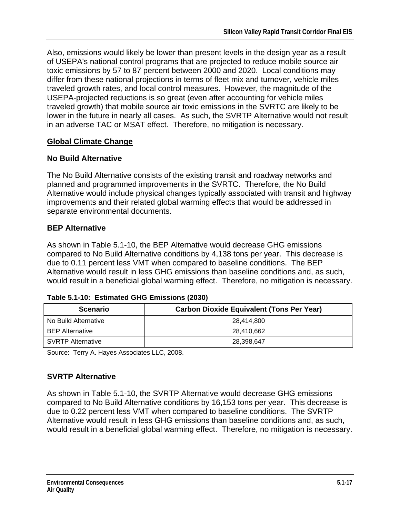Also, emissions would likely be lower than present levels in the design year as a result of USEPA's national control programs that are projected to reduce mobile source air toxic emissions by 57 to 87 percent between 2000 and 2020. Local conditions may differ from these national projections in terms of fleet mix and turnover, vehicle miles traveled growth rates, and local control measures. However, the magnitude of the USEPA-projected reductions is so great (even after accounting for vehicle miles traveled growth) that mobile source air toxic emissions in the SVRTC are likely to be lower in the future in nearly all cases. As such, the SVRTP Alternative would not result in an adverse TAC or MSAT effect. Therefore, no mitigation is necessary.

## **Global Climate Change**

### **No Build Alternative**

The No Build Alternative consists of the existing transit and roadway networks and planned and programmed improvements in the SVRTC. Therefore, the No Build Alternative would include physical changes typically associated with transit and highway improvements and their related global warming effects that would be addressed in separate environmental documents.

## **BEP Alternative**

As shown in Table 5.1-10, the BEP Alternative would decrease GHG emissions compared to No Build Alternative conditions by 4,138 tons per year. This decrease is due to 0.11 percent less VMT when compared to baseline conditions. The BEP Alternative would result in less GHG emissions than baseline conditions and, as such, would result in a beneficial global warming effect. Therefore, no mitigation is necessary.

| <b>Scenario</b>          | <b>Carbon Dioxide Equivalent (Tons Per Year)</b> |
|--------------------------|--------------------------------------------------|
| No Build Alternative     | 28.414.800                                       |
| <b>BEP Alternative</b>   | 28,410,662                                       |
| <b>SVRTP Alternative</b> | 28,398,647                                       |

#### **Table 5.1-10: Estimated GHG Emissions (2030)**

Source: Terry A. Hayes Associates LLC, 2008.

# **SVRTP Alternative**

As shown in Table 5.1-10, the SVRTP Alternative would decrease GHG emissions compared to No Build Alternative conditions by 16,153 tons per year. This decrease is due to 0.22 percent less VMT when compared to baseline conditions. The SVRTP Alternative would result in less GHG emissions than baseline conditions and, as such, would result in a beneficial global warming effect. Therefore, no mitigation is necessary.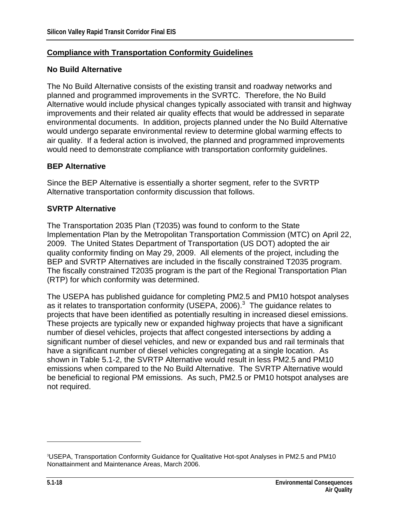#### **Compliance with Transportation Conformity Guidelines**

#### **No Build Alternative**

The No Build Alternative consists of the existing transit and roadway networks and planned and programmed improvements in the SVRTC. Therefore, the No Build Alternative would include physical changes typically associated with transit and highway improvements and their related air quality effects that would be addressed in separate environmental documents. In addition, projects planned under the No Build Alternative would undergo separate environmental review to determine global warming effects to air quality. If a federal action is involved, the planned and programmed improvements would need to demonstrate compliance with transportation conformity guidelines.

#### **BEP Alternative**

Since the BEP Alternative is essentially a shorter segment, refer to the SVRTP Alternative transportation conformity discussion that follows.

#### **SVRTP Alternative**

The Transportation 2035 Plan (T2035) was found to conform to the State Implementation Plan by the Metropolitan Transportation Commission (MTC) on April 22, 2009. The United States Department of Transportation (US DOT) adopted the air quality conformity finding on May 29, 2009. All elements of the project, including the BEP and SVRTP Alternatives are included in the fiscally constrained T2035 program. The fiscally constrained T2035 program is the part of the Regional Transportation Plan (RTP) for which conformity was determined.

The USEPA has published guidance for completing PM2.5 and PM10 hotspot analyses as it relates to transportation conformity (USEPA, 2006). $^3$  The guidance relates to projects that have been identified as potentially resulting in increased diesel emissions. These projects are typically new or expanded highway projects that have a significant number of diesel vehicles, projects that affect congested intersections by adding a significant number of diesel vehicles, and new or expanded bus and rail terminals that have a significant number of diesel vehicles congregating at a single location. As shown in Table 5.1-2, the SVRTP Alternative would result in less PM2.5 and PM10 emissions when compared to the No Build Alternative. The SVRTP Alternative would be beneficial to regional PM emissions. As such, PM2.5 or PM10 hotspot analyses are not required.

 $\overline{a}$ 

<sup>3</sup> USEPA, Transportation Conformity Guidance for Qualitative Hot-spot Analyses in PM2.5 and PM10 Nonattainment and Maintenance Areas, March 2006.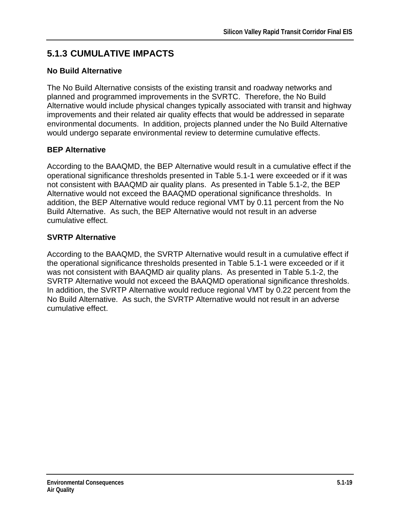# **5.1.3 CUMULATIVE IMPACTS**

## **No Build Alternative**

The No Build Alternative consists of the existing transit and roadway networks and planned and programmed improvements in the SVRTC. Therefore, the No Build Alternative would include physical changes typically associated with transit and highway improvements and their related air quality effects that would be addressed in separate environmental documents. In addition, projects planned under the No Build Alternative would undergo separate environmental review to determine cumulative effects.

## **BEP Alternative**

According to the BAAQMD, the BEP Alternative would result in a cumulative effect if the operational significance thresholds presented in Table 5.1-1 were exceeded or if it was not consistent with BAAQMD air quality plans. As presented in Table 5.1-2, the BEP Alternative would not exceed the BAAQMD operational significance thresholds. In addition, the BEP Alternative would reduce regional VMT by 0.11 percent from the No Build Alternative. As such, the BEP Alternative would not result in an adverse cumulative effect.

## **SVRTP Alternative**

According to the BAAQMD, the SVRTP Alternative would result in a cumulative effect if the operational significance thresholds presented in Table 5.1-1 were exceeded or if it was not consistent with BAAQMD air quality plans. As presented in Table 5.1-2, the SVRTP Alternative would not exceed the BAAQMD operational significance thresholds. In addition, the SVRTP Alternative would reduce regional VMT by 0.22 percent from the No Build Alternative. As such, the SVRTP Alternative would not result in an adverse cumulative effect.